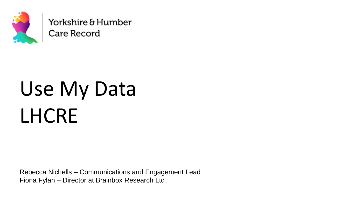

Yorkshire & Humber Care Record

# Use My Data LHCRE

Rebecca Nichells – Communications and Engagement Lead Fiona Fylan – Director at Brainbox Research Ltd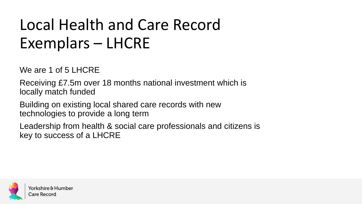### Local Health and Care Record Exemplars – LHCRE

We are 1 of 5 LHCRE

Receiving £7.5m over 18 months national investment which is locally match funded

Building on existing local shared care records with new technologies to provide a long term

Leadership from health & social care professionals and citizens is key to success of a LHCRE

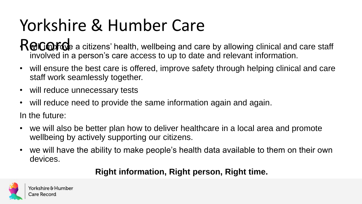# Yorkshire & Humber Care

- $R$   $\odot$   $\odot$   $\odot$   $\odot$  a citizens' health, wellbeing and care by allowing clinical and care staff involved in a person's care access to up to date and relevant information.
- will ensure the best care is offered, improve safety through helping clinical and care staff work seamlessly together.
- will reduce unnecessary tests
- will reduce need to provide the same information again and again.

In the future:

- we will also be better plan how to deliver healthcare in a local area and promote wellbeing by actively supporting our citizens.
- we will have the ability to make people's health data available to them on their own devices.

#### **Right information, Right person, Right time.**

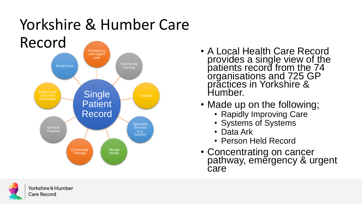## Yorkshire & Humber Care



- A Local Health Care Record provides a single view of the patients record from the 74 organisations and 725 GP practices in Yorkshire & Humber.
- Made up on the following;
	- Rapidly Improving Care
	- Systems of Systems
	- Data Ark
	- Person Held Record
- Concentrating on cancer pathway, emergency & urgent care

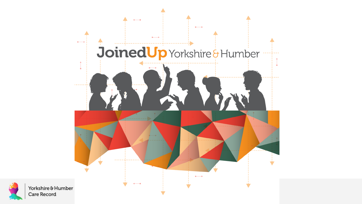

Yorkshire & Humber Care Record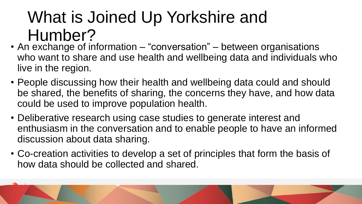# What is Joined Up Yorkshire and Humber?

- An exchange of information "conversation" between organisations who want to share and use health and wellbeing data and individuals who live in the region.
- People discussing how their health and wellbeing data could and should be shared, the benefits of sharing, the concerns they have, and how data could be used to improve population health.
- Deliberative research using case studies to generate interest and enthusiasm in the conversation and to enable people to have an informed discussion about data sharing.
- Co-creation activities to develop a set of principles that form the basis of how data should be collected and shared.

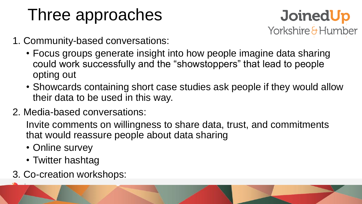# Three approaches



- 1. Community-based conversations:
	- Focus groups generate insight into how people imagine data sharing could work successfully and the "showstoppers" that lead to people opting out
	- Showcards containing short case studies ask people if they would allow their data to be used in this way.
- 2. Media-based conversations:

Invite comments on willingness to share data, trust, and commitments that would reassure people about data sharing

- Online survey
- Twitter hashtag
- 3. Co-creation workshops:

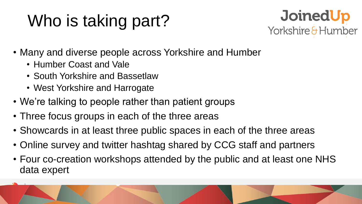# Who is taking part?



- Many and diverse people across Yorkshire and Humber
	- Humber Coast and Vale
	- South Yorkshire and Bassetlaw
	- West Yorkshire and Harrogate
- We're talking to people rather than patient groups
- Three focus groups in each of the three areas
- Showcards in at least three public spaces in each of the three areas
- Online survey and twitter hashtag shared by CCG staff and partners
- Four co-creation workshops attended by the public and at least one NHS data expert

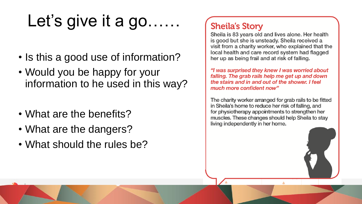# Let's give it a go……

- Is this a good use of information?
- Would you be happy for your information to he used in this way?
- What are the benefits?
- What are the dangers?
- What should the rules be?

#### **Sheila's Story**

Sheila is 83 years old and lives alone. Her health is good but she is unsteady. Sheila received a visit from a charity worker, who explained that the local health and care record system had flagged her up as being frail and at risk of falling.

"I was surprised they knew I was worried about falling. The grab rails help me get up and down the stairs and in and out of the shower. I feel much more confident now"

The charity worker arranged for grab rails to be fitted in Sheila's home to reduce her risk of falling, and for physiotherapy appointments to strengthen her muscles. These changes should help Sheila to stay living independently in her home.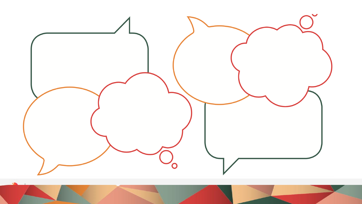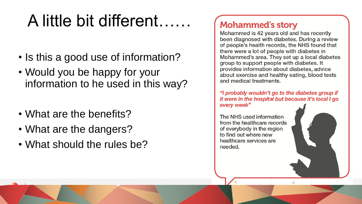# A little bit different……

- Is this a good use of information?
- Would you be happy for your information to he used in this way?
- What are the benefits?
- What are the dangers?
- What should the rules be?

#### **Mohammed's story**

Mohammed is 42 years old and has recently been diagnosed with diabetes. During a review of people's health records, the NHS found that there were a lot of people with diabetes in Mohammed's area. They set up a local diabetes group to support people with diabetes. It provides information about diabetes, advice about exercise and healthy eating, blood tests and medical treatments.

"I probably wouldn't go to the diabetes group if it were in the hospital but because it's local I go every week"

The NHS used information from the healthcare records of everybody in the region to find out where new healthcare services are needed.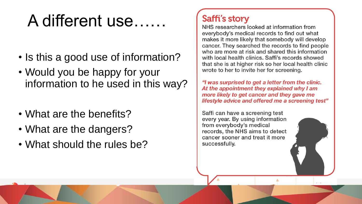# A different use……

- Is this a good use of information?
- Would you be happy for your information to he used in this way?
- What are the benefits?
- What are the dangers?
- What should the rules be?

### Saffi's story

NHS researchers looked at information from everybody's medical records to find out what makes it more likely that somebody will develop cancer. They searched the records to find people who are more at risk and shared this information with local health clinics. Saffi's records showed that she is at higher risk so her local health clinic wrote to her to invite her for screening.

"I was surprised to get a letter from the clinic. At the appointment they explained why I am more likely to get cancer and they gave me lifestyle advice and offered me a screening test"

Saffi can have a screening test every year. By using information from everybody's medical records, the NHS aims to detect cancer sooner and treat it more successfully.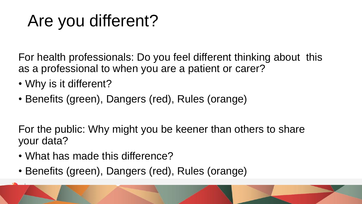# Are you different?

For health professionals: Do you feel different thinking about this as a professional to when you are a patient or carer?

- Why is it different?
- Benefits (green), Dangers (red), Rules (orange)

For the public: Why might you be keener than others to share your data?

- What has made this difference?
- Benefits (green), Dangers (red), Rules (orange)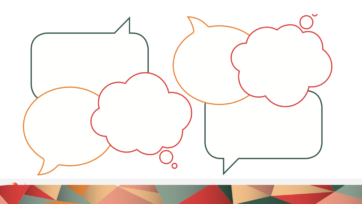